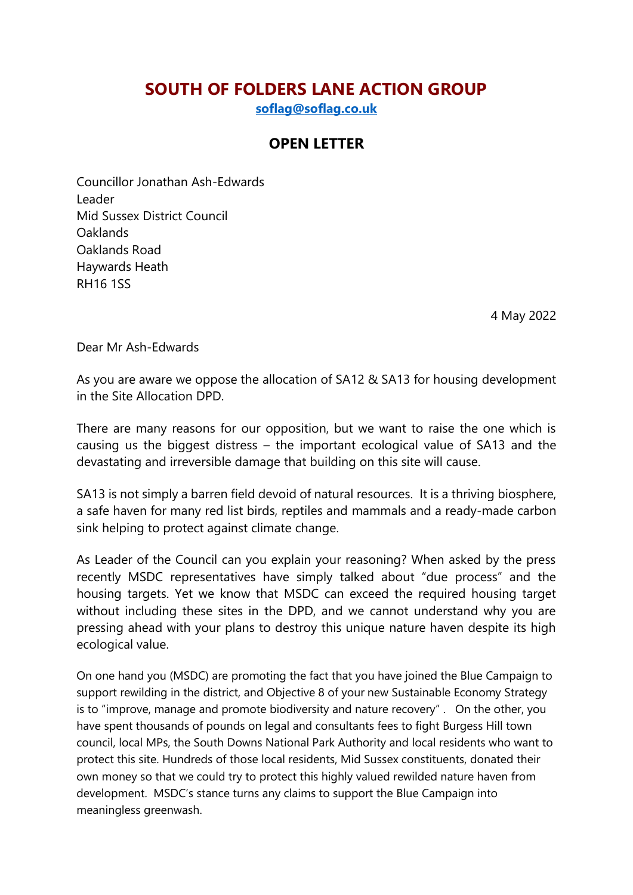## **SOUTH OF FOLDERS LANE ACTION GROUP**

**[soflag@soflag.co.uk](mailto:soflag@soflag.co.uk)**

## **OPEN LETTER**

Councillor Jonathan Ash-Edwards Leader Mid Sussex District Council **Oaklands** Oaklands Road Haywards Heath RH16 1SS

4 May 2022

Dear Mr Ash-Edwards

As you are aware we oppose the allocation of SA12 & SA13 for housing development in the Site Allocation DPD.

There are many reasons for our opposition, but we want to raise the one which is causing us the biggest distress – the important ecological value of SA13 and the devastating and irreversible damage that building on this site will cause.

SA13 is not simply a barren field devoid of natural resources. It is a thriving biosphere, a safe haven for many red list birds, reptiles and mammals and a ready-made carbon sink helping to protect against climate change.

As Leader of the Council can you explain your reasoning? When asked by the press recently MSDC representatives have simply talked about "due process" and the housing targets. Yet we know that MSDC can exceed the required housing target without including these sites in the DPD, and we cannot understand why you are pressing ahead with your plans to destroy this unique nature haven despite its high ecological value.

On one hand you (MSDC) are promoting the fact that you have joined the Blue Campaign to support rewilding in the district, and Objective 8 of your new Sustainable Economy Strategy is to "improve, manage and promote biodiversity and nature recovery" . On the other, you have spent thousands of pounds on legal and consultants fees to fight Burgess Hill town council, local MPs, the South Downs National Park Authority and local residents who want to protect this site. Hundreds of those local residents, Mid Sussex constituents, donated their own money so that we could try to protect this highly valued rewilded nature haven from development. MSDC's stance turns any claims to support the Blue Campaign into meaningless greenwash.